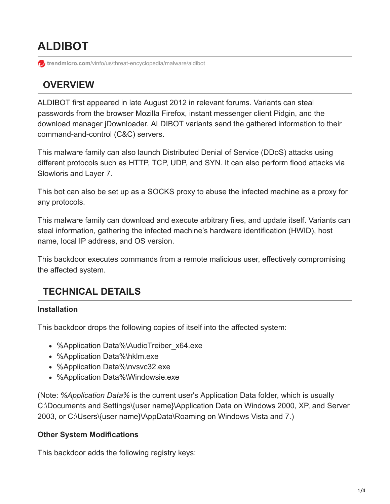# **ALDIBOT**

**trendmicro.com**[/vinfo/us/threat-encyclopedia/malware/aldibot](https://www.trendmicro.com/vinfo/us/threat-encyclopedia/malware/aldibot)

# **OVERVIEW**

ALDIBOT first appeared in late August 2012 in relevant forums. Variants can steal passwords from the browser Mozilla Firefox, instant messenger client Pidgin, and the download manager jDownloader. ALDIBOT variants send the gathered information to their command-and-control (C&C) servers.

This malware family can also launch Distributed Denial of Service (DDoS) attacks using different protocols such as HTTP, TCP, UDP, and SYN. It can also perform flood attacks via Slowloris and Layer 7.

This bot can also be set up as a SOCKS proxy to abuse the infected machine as a proxy for any protocols.

This malware family can download and execute arbitrary files, and update itself. Variants can steal information, gathering the infected machine's hardware identification (HWID), host name, local IP address, and OS version.

This backdoor executes commands from a remote malicious user, effectively compromising the affected system.

# **TECHNICAL DETAILS**

#### **Installation**

This backdoor drops the following copies of itself into the affected system:

- %Application Data%\AudioTreiber\_x64.exe
- %Application Data%\hklm.exe
- %Application Data%\nvsvc32.exe
- %Application Data%\Windowsie.exe

(Note: *%Application Data%* is the current user's Application Data folder, which is usually C:\Documents and Settings\{user name}\Application Data on Windows 2000, XP, and Server 2003, or C:\Users\{user name}\AppData\Roaming on Windows Vista and 7.)

#### **Other System Modifications**

This backdoor adds the following registry keys: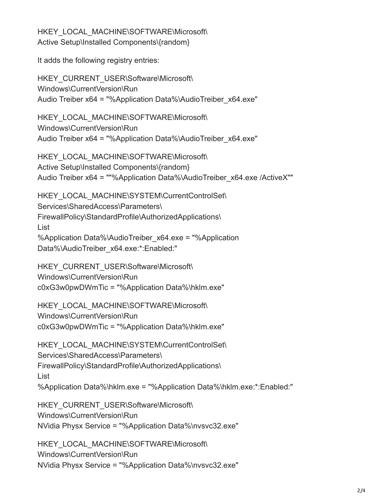HKEY\_LOCAL\_MACHINE\SOFTWARE\Microsoft\ Active Setup\Installed Components\{random}

It adds the following registry entries:

HKEY\_CURRENT\_USER\Software\Microsoft\ Windows\CurrentVersion\Run Audio Treiber x64 = "%Application Data%\AudioTreiber\_x64.exe"

HKEY\_LOCAL\_MACHINE\SOFTWARE\Microsoft\ Windows\CurrentVersion\Run Audio Treiber x64 = "%Application Data%\AudioTreiber\_x64.exe"

HKEY\_LOCAL\_MACHINE\SOFTWARE\Microsoft\ Active Setup\Installed Components\{random} Audio Treiber x64 = ""%Application Data%\AudioTreiber\_x64.exe /ActiveX""

HKEY\_LOCAL\_MACHINE\SYSTEM\CurrentControlSet\ Services\SharedAccess\Parameters\ FirewallPolicy\StandardProfile\AuthorizedApplications\ List %Application Data%\AudioTreiber\_x64.exe = "%Application Data%\AudioTreiber\_x64.exe:\*:Enabled:"

HKEY\_CURRENT\_USER\Software\Microsoft\ Windows\CurrentVersion\Run c0xG3w0pwDWmTic = "%Application Data%\hklm.exe"

HKEY\_LOCAL\_MACHINE\SOFTWARE\Microsoft\ Windows\CurrentVersion\Run c0xG3w0pwDWmTic = "%Application Data%\hklm.exe"

```
HKEY_LOCAL_MACHINE\SYSTEM\CurrentControlSet\
Services\SharedAccess\Parameters\
FirewallPolicy\StandardProfile\AuthorizedApplications\
List
%Application Data%\hklm.exe = "%Application Data%\hklm.exe:*:Enabled:"
```
HKEY\_CURRENT\_USER\Software\Microsoft\ Windows\CurrentVersion\Run NVidia Physx Service = "%Application Data%\nvsvc32.exe"

HKEY\_LOCAL\_MACHINE\SOFTWARE\Microsoft\ Windows\CurrentVersion\Run NVidia Physx Service = "%Application Data%\nvsvc32.exe"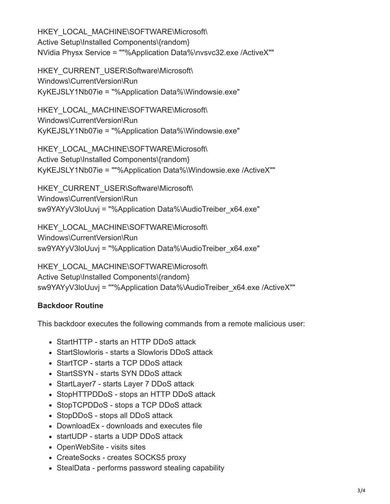HKEY\_LOCAL\_MACHINE\SOFTWARE\Microsoft\ Active Setup\Installed Components\{random} NVidia Physx Service = ""%Application Data%\nvsvc32.exe /ActiveX""

HKEY\_CURRENT\_USER\Software\Microsoft\ Windows\CurrentVersion\Run KyKEJSLY1Nb07ie = "%Application Data%\Windowsie.exe"

HKEY\_LOCAL\_MACHINE\SOFTWARE\Microsoft\ Windows\CurrentVersion\Run KyKEJSLY1Nb07ie = "%Application Data%\Windowsie.exe"

HKEY\_LOCAL\_MACHINE\SOFTWARE\Microsoft\ Active Setup\Installed Components\{random} KyKEJSLY1Nb07ie = ""%Application Data%\Windowsie.exe /ActiveX""

HKEY\_CURRENT\_USER\Software\Microsoft\ Windows\CurrentVersion\Run sw9YAYyV3loUuvj = "%Application Data%\AudioTreiber\_x64.exe"

HKEY\_LOCAL\_MACHINE\SOFTWARE\Microsoft\ Windows\CurrentVersion\Run sw9YAYyV3loUuvj = "%Application Data%\AudioTreiber\_x64.exe"

HKEY\_LOCAL\_MACHINE\SOFTWARE\Microsoft\ Active Setup\Installed Components\{random} sw9YAYyV3loUuvj = ""%Application Data%\AudioTreiber\_x64.exe /ActiveX""

#### **Backdoor Routine**

This backdoor executes the following commands from a remote malicious user:

- StartHTTP starts an HTTP DDoS attack
- StartSlowloris starts a Slowloris DDoS attack
- StartTCP starts a TCP DDoS attack
- StartSSYN starts SYN DDoS attack
- StartLayer7 starts Layer 7 DDoS attack
- StopHTTPDDoS stops an HTTP DDoS attack
- StopTCPDDoS stops a TCP DDoS attack
- StopDDoS stops all DDoS attack
- DownloadEx downloads and executes file
- startUDP starts a UDP DDoS attack
- OpenWebSite visits sites
- CreateSocks creates SOCKS5 proxy
- StealData performs password stealing capability